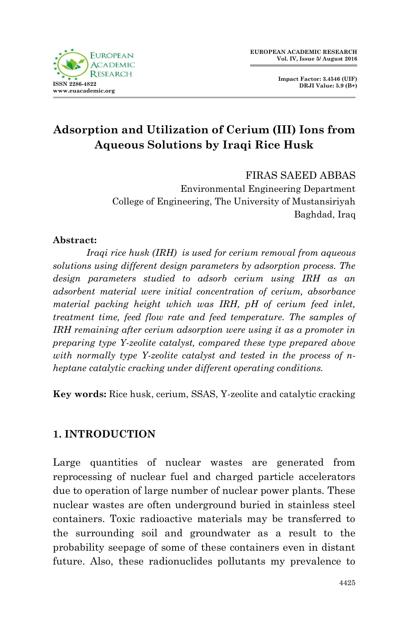



# **Adsorption and Utilization of Cerium (III) Ions from Aqueous Solutions by Iraqi Rice Husk**

FIRAS SAEED ABBAS

Environmental Engineering Department College of Engineering, The University of Mustansiriyah Baghdad, Iraq

#### **Abstract:**

*Iraqi rice husk (IRH) is used for cerium removal from aqueous solutions using different design parameters by adsorption process. The design parameters studied to adsorb cerium using IRH as an adsorbent material were initial concentration of cerium, absorbance material packing height which was IRH, pH of cerium feed inlet, treatment time, feed flow rate and feed temperature. The samples of IRH remaining after cerium adsorption were using it as a promoter in preparing type Y-zeolite catalyst, compared these type prepared above with normally type Y-zeolite catalyst and tested in the process of nheptane catalytic cracking under different operating conditions.* 

**Key words:** Rice husk, cerium, SSAS, Y-zeolite and catalytic cracking

### **1. INTRODUCTION**

Large quantities of nuclear wastes are generated from reprocessing of nuclear fuel and charged particle accelerators due to operation of large number of nuclear power plants. These nuclear wastes are often underground buried in stainless steel containers. Toxic radioactive materials may be transferred to the surrounding soil and groundwater as a result to the probability seepage of some of these containers even in distant future. Also, these radionuclides pollutants my prevalence to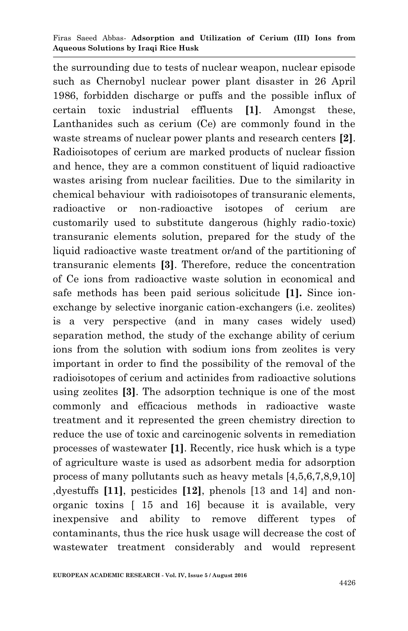the surrounding due to tests of nuclear weapon, nuclear episode such as Chernobyl nuclear power plant disaster in 26 April 1986, forbidden discharge or puffs and the possible influx of certain toxic industrial effluents **[1]**. Amongst these, Lanthanides such as cerium (Ce) are commonly found in the waste streams of nuclear power plants and research centers **[2]**. Radioisotopes of cerium are marked products of nuclear fission and hence, they are a common constituent of liquid radioactive wastes arising from nuclear facilities. Due to the similarity in chemical behaviour with radioisotopes of transuranic elements, radioactive or non-radioactive isotopes of cerium are customarily used to substitute dangerous (highly radio-toxic) transuranic elements solution, prepared for the study of the liquid radioactive waste treatment or/and of the partitioning of transuranic elements **[3]**. Therefore, reduce the concentration of Ce ions from radioactive waste solution in economical and safe methods has been paid serious solicitude **[1].** Since ionexchange by selective inorganic cation-exchangers (i.e. zeolites) is a very perspective (and in many cases widely used) separation method, the study of the exchange ability of cerium ions from the solution with sodium ions from zeolites is very important in order to find the possibility of the removal of the radioisotopes of cerium and actinides from radioactive solutions using zeolites **[3]**. The adsorption technique is one of the most commonly and efficacious methods in radioactive waste treatment and it represented the green chemistry direction to reduce the use of toxic and carcinogenic solvents in remediation processes of wastewater **[1]**. Recently, rice husk which is a type of agriculture waste is used as adsorbent media for adsorption process of many pollutants such as heavy metals [4,5,6,7,8,9,10] ,dyestuffs **[11]**, pesticides **[12]**, phenols [13 and 14] and nonorganic toxins [ 15 and 16] because it is available, very inexpensive and ability to remove different types of contaminants, thus the rice husk usage will decrease the cost of wastewater treatment considerably and would represent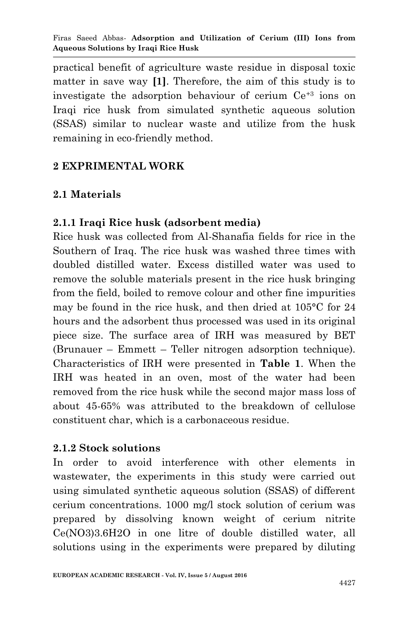practical benefit of agriculture waste residue in disposal toxic matter in save way **[1]**. Therefore, the aim of this study is to investigate the adsorption behaviour of cerium Ce+3 ions on Iraqi rice husk from simulated synthetic aqueous solution (SSAS) similar to nuclear waste and utilize from the husk remaining in eco-friendly method.

### **2 EXPRIMENTAL WORK**

# **2.1 Materials**

## **2.1.1 Iraqi Rice husk (adsorbent media)**

Rice husk was collected from Al-Shanafia fields for rice in the Southern of Iraq. The rice husk was washed three times with doubled distilled water. Excess distilled water was used to remove the soluble materials present in the rice husk bringing from the field, boiled to remove colour and other fine impurities may be found in the rice husk, and then dried at 105°C for 24 hours and the adsorbent thus processed was used in its original piece size. The surface area of IRH was measured by BET (Brunauer – Emmett – Teller nitrogen adsorption technique). Characteristics of IRH were presented in **Table 1**. When the IRH was heated in an oven, most of the water had been removed from the rice husk while the second major mass loss of about 45-65% was attributed to the breakdown of cellulose constituent char, which is a carbonaceous residue.

### **2.1.2 Stock solutions**

In order to avoid interference with other elements in wastewater, the experiments in this study were carried out using simulated synthetic aqueous solution (SSAS) of different cerium concentrations. 1000 mg/l stock solution of cerium was prepared by dissolving known weight of cerium nitrite Ce(NO3)3.6H2O in one litre of double distilled water, all solutions using in the experiments were prepared by diluting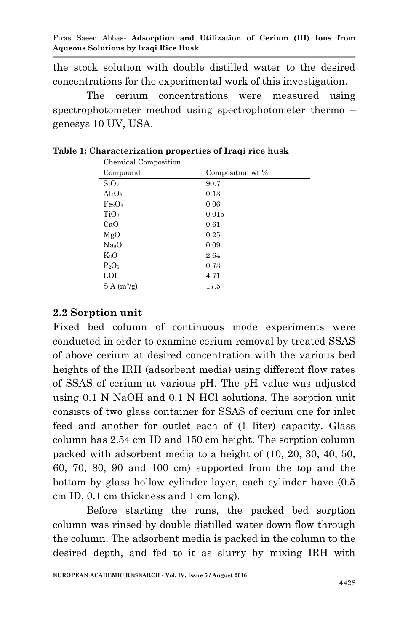the stock solution with double distilled water to the desired concentrations for the experimental work of this investigation.

The cerium concentrations were measured using spectrophotometer method using spectrophotometer thermo – genesys 10 UV, USA.

| Chemical Composition           |                  |  |  |  |  |  |  |  |
|--------------------------------|------------------|--|--|--|--|--|--|--|
| Compound                       | Composition wt % |  |  |  |  |  |  |  |
| SiO <sub>2</sub>               | 90.7             |  |  |  |  |  |  |  |
| $Al_2O_3$                      | 0.13             |  |  |  |  |  |  |  |
| Fe <sub>2</sub> O <sub>3</sub> | 0.06             |  |  |  |  |  |  |  |
| TiO <sub>2</sub>               | 0.015            |  |  |  |  |  |  |  |
| CaO                            | 0.61             |  |  |  |  |  |  |  |
| MgO                            | 0.25             |  |  |  |  |  |  |  |
| Na <sub>2</sub> O              | 0.09             |  |  |  |  |  |  |  |
| $K_2O$                         | 2.64             |  |  |  |  |  |  |  |
| $P_2O_5$                       | 0.73             |  |  |  |  |  |  |  |
| LOI                            | 4.71             |  |  |  |  |  |  |  |
| $S.A(m^{2}/g)$                 | 17.5             |  |  |  |  |  |  |  |

**Table 1: Characterization properties of Iraqi rice husk**

#### **2.2 Sorption unit**

Fixed bed column of continuous mode experiments were conducted in order to examine cerium removal by treated SSAS of above cerium at desired concentration with the various bed heights of the IRH (adsorbent media) using different flow rates of SSAS of cerium at various pH. The pH value was adjusted using 0.1 N NaOH and 0.1 N HCl solutions. The sorption unit consists of two glass container for SSAS of cerium one for inlet feed and another for outlet each of (1 liter) capacity. Glass column has 2.54 cm ID and 150 cm height. The sorption column packed with adsorbent media to a height of (10, 20, 30, 40, 50, 60, 70, 80, 90 and 100 cm) supported from the top and the bottom by glass hollow cylinder layer, each cylinder have (0.5 cm ID, 0.1 cm thickness and 1 cm long).

Before starting the runs, the packed bed sorption column was rinsed by double distilled water down flow through the column. The adsorbent media is packed in the column to the desired depth, and fed to it as slurry by mixing IRH with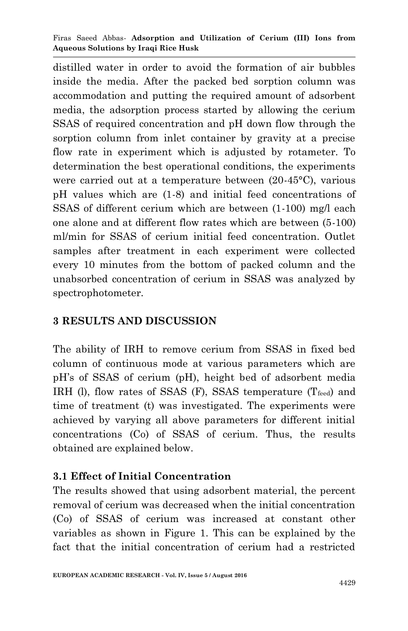distilled water in order to avoid the formation of air bubbles inside the media. After the packed bed sorption column was accommodation and putting the required amount of adsorbent media, the adsorption process started by allowing the cerium SSAS of required concentration and pH down flow through the sorption column from inlet container by gravity at a precise flow rate in experiment which is adjusted by rotameter. To determination the best operational conditions, the experiments were carried out at a temperature between (20-45°C), various pH values which are (1-8) and initial feed concentrations of SSAS of different cerium which are between (1-100) mg/l each one alone and at different flow rates which are between (5-100) ml/min for SSAS of cerium initial feed concentration. Outlet samples after treatment in each experiment were collected every 10 minutes from the bottom of packed column and the unabsorbed concentration of cerium in SSAS was analyzed by spectrophotometer.

## **3 RESULTS AND DISCUSSION**

The ability of IRH to remove cerium from SSAS in fixed bed column of continuous mode at various parameters which are pH's of SSAS of cerium (pH), height bed of adsorbent media IRH (l), flow rates of SSAS (F), SSAS temperature  $(T_{feed})$  and time of treatment (t) was investigated. The experiments were achieved by varying all above parameters for different initial concentrations (Co) of SSAS of cerium. Thus, the results obtained are explained below.

# **3.1 Effect of Initial Concentration**

The results showed that using adsorbent material, the percent removal of cerium was decreased when the initial concentration (Co) of SSAS of cerium was increased at constant other variables as shown in Figure 1. This can be explained by the fact that the initial concentration of cerium had a restricted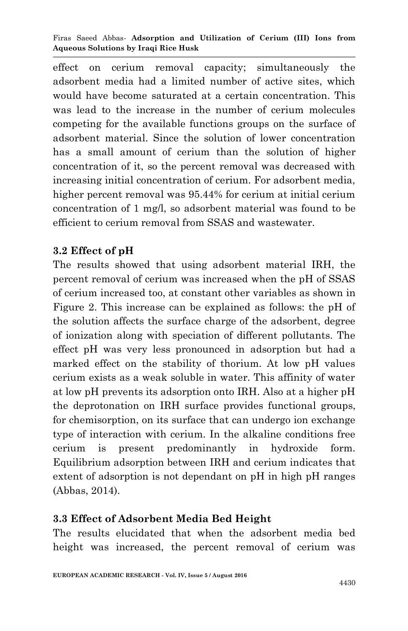effect on cerium removal capacity; simultaneously the adsorbent media had a limited number of active sites, which would have become saturated at a certain concentration. This was lead to the increase in the number of cerium molecules competing for the available functions groups on the surface of adsorbent material. Since the solution of lower concentration has a small amount of cerium than the solution of higher concentration of it, so the percent removal was decreased with increasing initial concentration of cerium. For adsorbent media, higher percent removal was 95.44% for cerium at initial cerium concentration of 1 mg/l, so adsorbent material was found to be efficient to cerium removal from SSAS and wastewater.

### **3.2 Effect of pH**

The results showed that using adsorbent material IRH, the percent removal of cerium was increased when the pH of SSAS of cerium increased too, at constant other variables as shown in Figure 2. This increase can be explained as follows: the pH of the solution affects the surface charge of the adsorbent, degree of ionization along with speciation of different pollutants. The effect pH was very less pronounced in adsorption but had a marked effect on the stability of thorium. At low pH values cerium exists as a weak soluble in water. This affinity of water at low pH prevents its adsorption onto IRH. Also at a higher pH the deprotonation on IRH surface provides functional groups, for chemisorption, on its surface that can undergo ion exchange type of interaction with cerium. In the alkaline conditions free cerium is present predominantly in hydroxide form. Equilibrium adsorption between IRH and cerium indicates that extent of adsorption is not dependant on pH in high pH ranges (Abbas, 2014).

### **3.3 Effect of Adsorbent Media Bed Height**

The results elucidated that when the adsorbent media bed height was increased, the percent removal of cerium was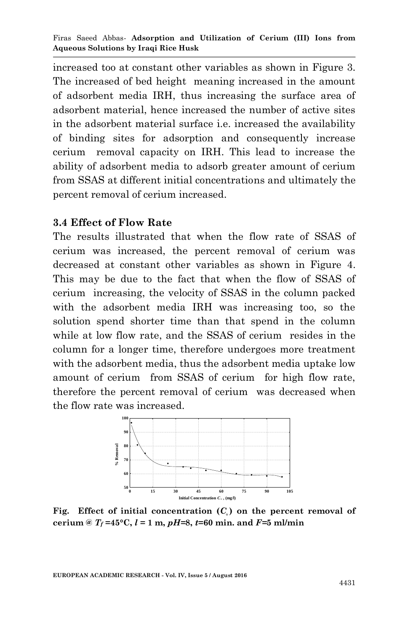increased too at constant other variables as shown in Figure 3. The increased of bed height meaning increased in the amount of adsorbent media IRH, thus increasing the surface area of adsorbent material, hence increased the number of active sites in the adsorbent material surface i.e. increased the availability of binding sites for adsorption and consequently increase cerium removal capacity on IRH. This lead to increase the ability of adsorbent media to adsorb greater amount of cerium from SSAS at different initial concentrations and ultimately the percent removal of cerium increased.

#### **3.4 Effect of Flow Rate**

The results illustrated that when the flow rate of SSAS of cerium was increased, the percent removal of cerium was decreased at constant other variables as shown in Figure 4. This may be due to the fact that when the flow of SSAS of cerium increasing, the velocity of SSAS in the column packed with the adsorbent media IRH was increasing too, so the solution spend shorter time than that spend in the column while at low flow rate, and the SSAS of cerium resides in the column for a longer time, therefore undergoes more treatment with the adsorbent media, thus the adsorbent media uptake low amount of cerium from SSAS of cerium for high flow rate, therefore the percent removal of cerium was decreased when the flow rate was increased.



Fig. Effect of initial concentration  $(C_5)$  on the percent removal of **cerium** @  $T_f = 45^{\circ}$ C,  $l = 1$  m,  $pH=8$ ,  $t=60$  min. and  $F=5$  ml/min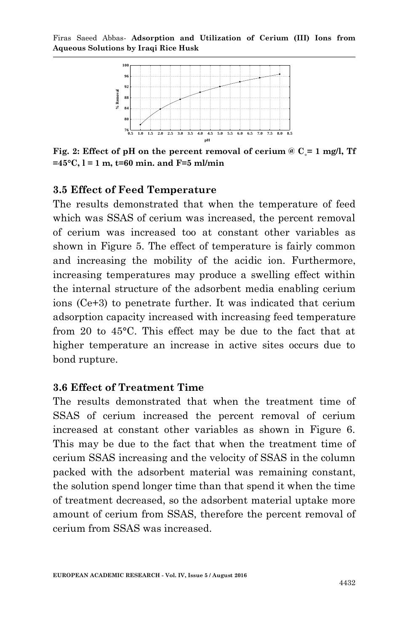

Fig. 2: Effect of pH on the percent removal of cerium  $\& C = 1$  mg/l, Tf **=45°C, l = 1 m, t=60 min. and F=5 ml/min**

#### **3.5 Effect of Feed Temperature**

The results demonstrated that when the temperature of feed which was SSAS of cerium was increased, the percent removal of cerium was increased too at constant other variables as shown in Figure 5. The effect of temperature is fairly common and increasing the mobility of the acidic ion. Furthermore, increasing temperatures may produce a swelling effect within the internal structure of the adsorbent media enabling cerium ions (Ce+3) to penetrate further. It was indicated that cerium adsorption capacity increased with increasing feed temperature from 20 to 45°C. This effect may be due to the fact that at higher temperature an increase in active sites occurs due to bond rupture.

#### **3.6 Effect of Treatment Time**

The results demonstrated that when the treatment time of SSAS of cerium increased the percent removal of cerium increased at constant other variables as shown in Figure 6. This may be due to the fact that when the treatment time of cerium SSAS increasing and the velocity of SSAS in the column packed with the adsorbent material was remaining constant, the solution spend longer time than that spend it when the time of treatment decreased, so the adsorbent material uptake more amount of cerium from SSAS, therefore the percent removal of cerium from SSAS was increased.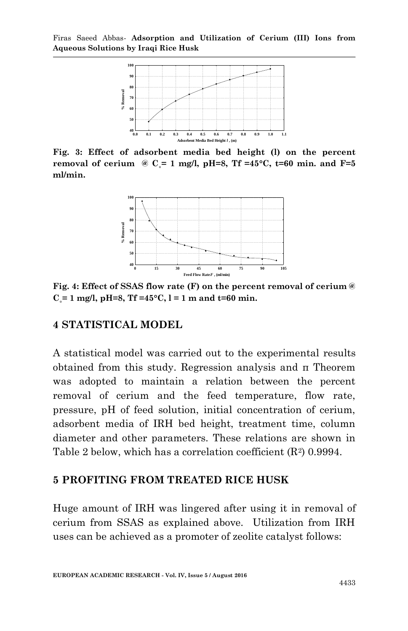

**Fig. 3: Effect of adsorbent media bed height (l) on the percent removal of cerium**  $\omega$  **C** = 1 mg/l, pH=8, Tf =45<sup>o</sup>C, t=60 min. and F=5 **ml/min.**



**Fig. 4: Effect of SSAS flow rate (F) on the percent removal of cerium @**   $C = 1$  mg/l, pH=8, Tf =45 $\degree$ C, l = 1 m and t=60 min.

#### **4 STATISTICAL MODEL**

A statistical model was carried out to the experimental results obtained from this study. Regression analysis and π Theorem was adopted to maintain a relation between the percent removal of cerium and the feed temperature, flow rate, pressure, pH of feed solution, initial concentration of cerium, adsorbent media of IRH bed height, treatment time, column diameter and other parameters. These relations are shown in Table 2 below, which has a correlation coefficient  $(R^2)$  0.9994.

#### **5 PROFITING FROM TREATED RICE HUSK**

Huge amount of IRH was lingered after using it in removal of cerium from SSAS as explained above. Utilization from IRH uses can be achieved as a promoter of zeolite catalyst follows: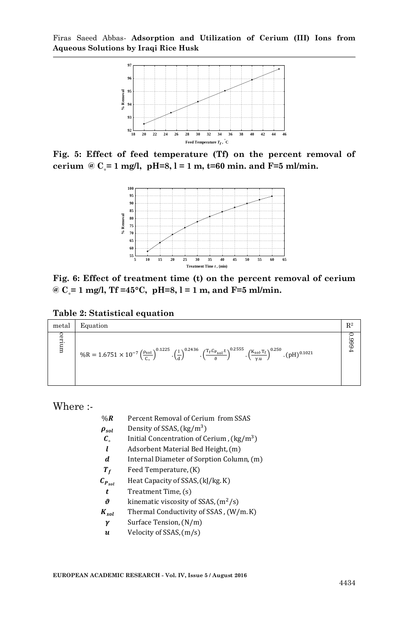

**Fig. 5: Effect of feed temperature (Tf) on the percent removal of cerium @ C**  $\epsilon$  = 1 mg/l, pH=8, l = 1 m, t=60 min. and F=5 ml/min.



**Fig. 6: Effect of treatment time (t) on the percent removal of cerium @ C˳= 1 mg/l, Tf =45°C, pH=8, l = 1 m, and F=5 ml/min.**

**Table 2: Statistical equation**

| metal | Equation                                                                                                                                                                                                                                                   | $\mathbb{R}^2$    |
|-------|------------------------------------------------------------------------------------------------------------------------------------------------------------------------------------------------------------------------------------------------------------|-------------------|
| erium | $\%R = 1.6751 \times 10^{-7} \left(\frac{\rho_{sol}}{c_s}\right)^{0.1225} \cdot \left(\frac{1}{d}\right)^{0.2436} \cdot \left(\frac{T_f C_{Fsol}t}{\vartheta}\right)^{0.2555} \cdot \left(\frac{K_{sol}.T_f}{\gamma u}\right)^{0.250} \cdot (pH)^{0.1021}$ | F666 <sup>-</sup> |

Where :-

| $%$ R                 | Percent Removal of Cerium from SSAS               |
|-----------------------|---------------------------------------------------|
| $\rho_{sol}$          | Density of SSAS, (kg/m <sup>3</sup> )             |
| $\mathcal{C}_{\circ}$ | Initial Concentration of Cerium, $\frac{kg}{m^3}$ |
| l                     | Adsorbent Material Bed Height, (m)                |
| d                     | Internal Diameter of Sorption Column, (m)         |
| $T_f$                 | Feed Temperature, (K)                             |
| $C_{P_{sol}}$         | Heat Capacity of SSAS, (kJ/kg. K)                 |
| t                     | Treatment Time, (s)                               |
| ı9                    | kinematic viscosity of SSAS, $(m^2/s)$            |
| $K_{sol}$             | Thermal Conductivity of SSAS, (W/m.K)             |
| γ                     | Surface Tension, (N/m)                            |

 $\boldsymbol{u}$  Velocity of SSAS,  $(m/s)$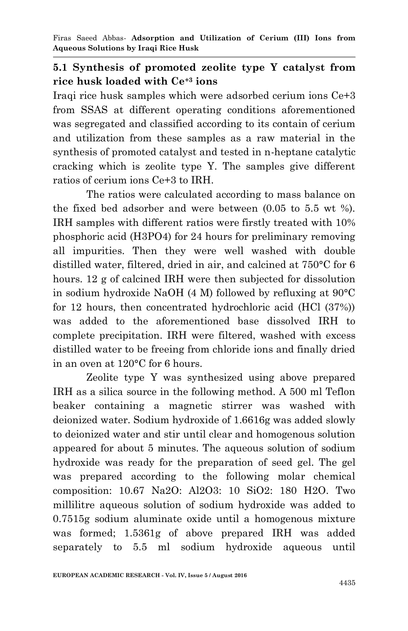#### **5.1 Synthesis of promoted zeolite type Y catalyst from rice husk loaded with Ce+3 ions**

Iraqi rice husk samples which were adsorbed cerium ions Ce+3 from SSAS at different operating conditions aforementioned was segregated and classified according to its contain of cerium and utilization from these samples as a raw material in the synthesis of promoted catalyst and tested in n-heptane catalytic cracking which is zeolite type Y. The samples give different ratios of cerium ions Ce+3 to IRH.

The ratios were calculated according to mass balance on the fixed bed adsorber and were between (0.05 to 5.5 wt %). IRH samples with different ratios were firstly treated with 10% phosphoric acid (H3PO4) for 24 hours for preliminary removing all impurities. Then they were well washed with double distilled water, filtered, dried in air, and calcined at 750°C for 6 hours. 12 g of calcined IRH were then subjected for dissolution in sodium hydroxide NaOH (4 M) followed by refluxing at 90°C for 12 hours, then concentrated hydrochloric acid (HCl (37%)) was added to the aforementioned base dissolved IRH to complete precipitation. IRH were filtered, washed with excess distilled water to be freeing from chloride ions and finally dried in an oven at 120°C for 6 hours.

Zeolite type Y was synthesized using above prepared IRH as a silica source in the following method. A 500 ml Teflon beaker containing a magnetic stirrer was washed with deionized water. Sodium hydroxide of 1.6616g was added slowly to deionized water and stir until clear and homogenous solution appeared for about 5 minutes. The aqueous solution of sodium hydroxide was ready for the preparation of seed gel. The gel was prepared according to the following molar chemical composition: 10.67 Na2O: Al2O3: 10 SiO2: 180 H2O. Two millilitre aqueous solution of sodium hydroxide was added to 0.7515g sodium aluminate oxide until a homogenous mixture was formed; 1.5361g of above prepared IRH was added separately to 5.5 ml sodium hydroxide aqueous until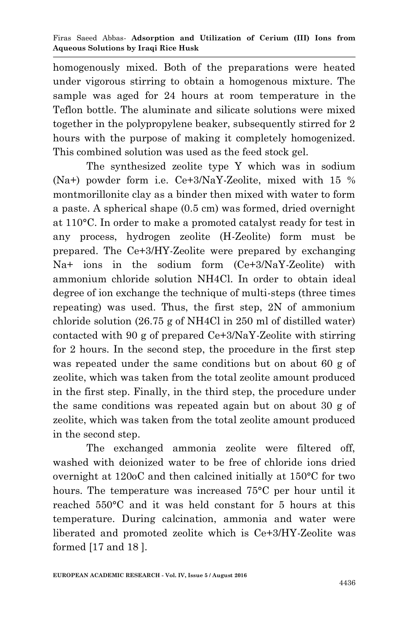homogenously mixed. Both of the preparations were heated under vigorous stirring to obtain a homogenous mixture. The sample was aged for 24 hours at room temperature in the Teflon bottle. The aluminate and silicate solutions were mixed together in the polypropylene beaker, subsequently stirred for 2 hours with the purpose of making it completely homogenized. This combined solution was used as the feed stock gel.

The synthesized zeolite type Y which was in sodium (Na+) powder form i.e. Ce+3/NaY-Zeolite, mixed with 15 % montmorillonite clay as a binder then mixed with water to form a paste. A spherical shape (0.5 cm) was formed, dried overnight at 110°C. In order to make a promoted catalyst ready for test in any process, hydrogen zeolite (H-Zeolite) form must be prepared. The Ce+3/HY-Zeolite were prepared by exchanging Na+ ions in the sodium form (Ce+3/NaY-Zeolite) with ammonium chloride solution NH4Cl. In order to obtain ideal degree of ion exchange the technique of multi-steps (three times repeating) was used. Thus, the first step, 2N of ammonium chloride solution (26.75 g of NH4Cl in 250 ml of distilled water) contacted with 90 g of prepared Ce+3/NaY-Zeolite with stirring for 2 hours. In the second step, the procedure in the first step was repeated under the same conditions but on about 60 g of zeolite, which was taken from the total zeolite amount produced in the first step. Finally, in the third step, the procedure under the same conditions was repeated again but on about 30 g of zeolite, which was taken from the total zeolite amount produced in the second step.

The exchanged ammonia zeolite were filtered off, washed with deionized water to be free of chloride ions dried overnight at 120oC and then calcined initially at 150°C for two hours. The temperature was increased 75°C per hour until it reached 550°C and it was held constant for 5 hours at this temperature. During calcination, ammonia and water were liberated and promoted zeolite which is Ce+3/HY-Zeolite was formed [17 and 18 ].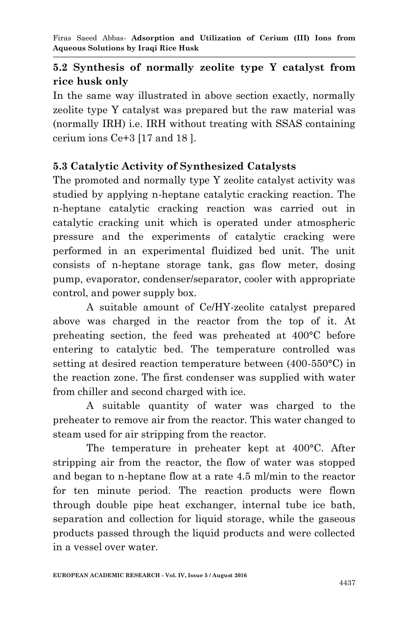# **5.2 Synthesis of normally zeolite type Y catalyst from rice husk only**

In the same way illustrated in above section exactly, normally zeolite type Y catalyst was prepared but the raw material was (normally IRH) i.e. IRH without treating with SSAS containing cerium ions Ce+3 [17 and 18 ].

# **5.3 Catalytic Activity of Synthesized Catalysts**

The promoted and normally type Y zeolite catalyst activity was studied by applying n-heptane catalytic cracking reaction. The n-heptane catalytic cracking reaction was carried out in catalytic cracking unit which is operated under atmospheric pressure and the experiments of catalytic cracking were performed in an experimental fluidized bed unit. The unit consists of n-heptane storage tank, gas flow meter, dosing pump, evaporator, condenser/separator, cooler with appropriate control, and power supply box.

A suitable amount of Ce/HY-zeolite catalyst prepared above was charged in the reactor from the top of it. At preheating section, the feed was preheated at 400°C before entering to catalytic bed. The temperature controlled was setting at desired reaction temperature between (400-550°C) in the reaction zone. The first condenser was supplied with water from chiller and second charged with ice.

A suitable quantity of water was charged to the preheater to remove air from the reactor. This water changed to steam used for air stripping from the reactor.

The temperature in preheater kept at 400°C. After stripping air from the reactor, the flow of water was stopped and began to n-heptane flow at a rate 4.5 ml/min to the reactor for ten minute period. The reaction products were flown through double pipe heat exchanger, internal tube ice bath, separation and collection for liquid storage, while the gaseous products passed through the liquid products and were collected in a vessel over water.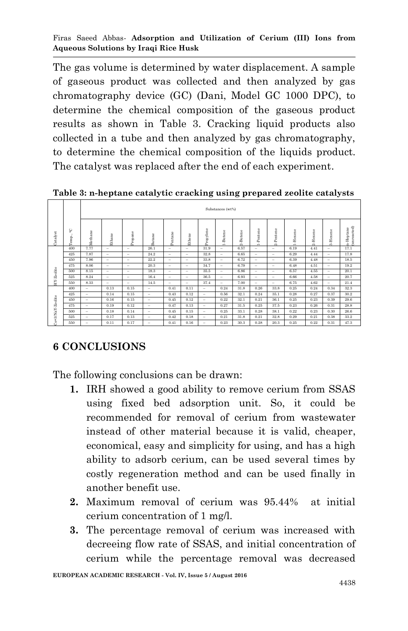The gas volume is determined by water displacement. A sample of gaseous product was collected and then analyzed by gas chromatography device (GC) (Dani, Model GC 1000 DPC), to determine the chemical composition of the gaseous product results as shown in Table 3. Cracking liquid products also collected in a tube and then analyzed by gas chromatography, to determine the chemical composition of the liquids product. The catalyst was replaced after the end of each experiment.

**Table 3: n-heptane catalytic cracking using prepared zeolite catalysts**

| Catalyst         | ပ္<br>Temp., | Substances (wt%)         |                          |                          |        |                          |                          |           |                          |          |                          |               |              |              |          |                          |
|------------------|--------------|--------------------------|--------------------------|--------------------------|--------|--------------------------|--------------------------|-----------|--------------------------|----------|--------------------------|---------------|--------------|--------------|----------|--------------------------|
|                  |              | Methane                  | <b>Sthane</b>            | Propane                  | Butane | Pentane                  | Ethene                   | Propylene | 1-Butene                 | 2-Butene | -Pentene<br>÷            | Pentene<br>۵ì | -Hexene<br>÷ | -Hexene<br>Ń | 3-Hexene | (unreacted)<br>n-Heptane |
| -Zeolite         | 400          | 7.77                     | -                        | -                        | 26.1   | -                        | -                        | 31.9      | $\overline{\phantom{a}}$ | 6.57     | -                        | -             | 6.19         | 4.41         | -        | 17.1                     |
|                  | 425          | 7.87                     | $\overline{\phantom{a}}$ | -                        | 24.2   | $\overline{\phantom{a}}$ | -                        | 32.8      | -                        | 6.65     | $\overline{\phantom{a}}$ | -             | 6.29         | 4.44         | -        | 17.8                     |
|                  | 450          | 7.96                     | -                        | -                        | 22.2   | $\overline{\phantom{a}}$ | -                        | 33.8      | $\overline{\phantom{a}}$ | 6.72     | $\overline{\phantom{a}}$ | -             | 6.39         | 4.48         | -        | 18.5                     |
|                  | 475          | 8.06                     | -                        | $\overline{\phantom{a}}$ | 20.3   | -                        | -                        | 34.7      | -                        | 6.79     | -                        | -             | 6.48         | 4.51         | -        | 19.2                     |
|                  | 500          | 8.15                     | $\overline{\phantom{a}}$ | -                        | 18.3   | -                        | $\overline{\phantom{a}}$ | 35.5      | -                        | 6.86     | $\overline{\phantom{a}}$ | -             | 6.57         | 4.55         | -        | 20.1                     |
|                  | 525          | 8.24                     | -                        | -                        | 16.4   | $\overline{\phantom{a}}$ | -                        | 36.5      | -                        | 6.93     | $\overline{\phantom{a}}$ | -             | 6.66         | 4.58         | -        | 20.7                     |
| È                | 550          | 8.33                     | -                        | -                        | 14.5   | $\overline{\phantom{a}}$ | $\overline{\phantom{m}}$ | 37.4      | -                        | 7.00     | $\overline{\phantom{a}}$ | -             | 6.75         | 4.62         | -        | 21.4                     |
|                  | 400          | $\overline{\phantom{a}}$ | 0.13                     | 0.15                     | -      | 0.41                     | 0.11                     | -         | 0.24                     | 31.8     | 0.26                     | 33.8          | 0.25         | 0.24         | 0.34     | 32.3                     |
| Ce+3/NaY-Zeolite | 425          | $\overline{\phantom{a}}$ | 0.14                     | 0.15                     | -      | 0.43                     | 0.12                     | -         | 0.56                     | 32.1     | 0.24                     | 35.1          | 0.28         | 0.27         | 0.37     | 30.2                     |
|                  | 450          | $\overline{\phantom{a}}$ | 0.16                     | 0.15                     | -      | 0.45                     | 0.12                     | -         | 0.22                     | 32.1     | 0.21                     | 36.1          | 0.25         | 0.23         | 0.39     | 29.6                     |
|                  | 475          | -                        | 0.19                     | 0.12                     | -      | 0.47                     | 0.13                     | -         | 0.27                     | 31.5     | 0.25                     | 37.5          | 0.23         | 0.26         | 0.31     | 28.8                     |
|                  | 500          | $\overline{\phantom{a}}$ | 0.18                     | 0.14                     | -      | 0.45                     | 0.15                     | -         | 0.25                     | 33.1     | 0.28                     | 38.1          | 0.22         | 0.23         | 0.30     | 26.6                     |
|                  | 525          | $\overline{\phantom{a}}$ | 0.17                     | 0.13                     | -      | 0.42                     | 0.18                     | -         | 0.21                     | 31.8     | 0.21                     | 32.8          | 0.29         | 0.21         | 0.38     | 33.2                     |
|                  | 550          | $\equiv$                 | 0.11                     | 0.17                     | -      | 0.41                     | 0.16                     | -         | 0.23                     | 30.3     | 0.28                     | 20.3          | 0.25         | 0.22         | 0.31     | 47.3                     |

### **6 CONCLUSIONS**

The following conclusions can be drawn:

- **1.** IRH showed a good ability to remove cerium from SSAS using fixed bed adsorption unit. So, it could be recommended for removal of cerium from wastewater instead of other material because it is valid, cheaper, economical, easy and simplicity for using, and has a high ability to adsorb cerium, can be used several times by costly regeneration method and can be used finally in another benefit use.
- **2.** Maximum removal of cerium was 95.44% at initial cerium concentration of 1 mg/l.
- **3.** The percentage removal of cerium was increased with decreeing flow rate of SSAS, and initial concentration of cerium while the percentage removal was decreased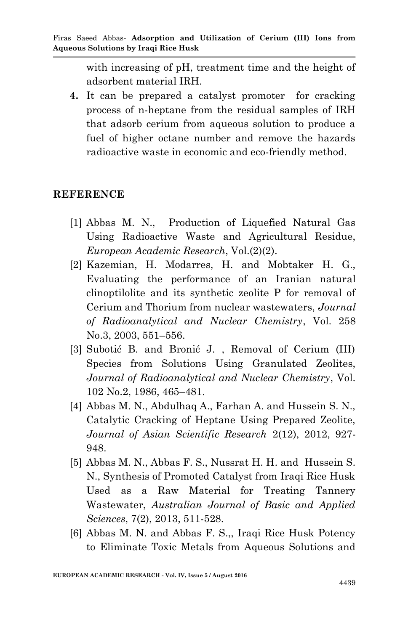with increasing of pH, treatment time and the height of adsorbent material IRH.

**4.** It can be prepared a catalyst promoter for cracking process of n-heptane from the residual samples of IRH that adsorb cerium from aqueous solution to produce a fuel of higher octane number and remove the hazards radioactive waste in economic and eco-friendly method.

#### **REFERENCE**

- [1] Abbas M. N., Production of Liquefied Natural Gas Using Radioactive Waste and Agricultural Residue, *European Academic Research*, Vol.(2)(2).
- [2] Kazemian, H. Modarres, H. and Mobtaker H. G., Evaluating the performance of an Iranian natural clinoptilolite and its synthetic zeolite P for removal of Cerium and Thorium from nuclear wastewaters, *Journal of Radioanalytical and Nuclear Chemistry*, Vol. 258 No.3, 2003, 551–556.
- [3] Subotić B. and Bronić J. , Removal of Cerium (III) Species from Solutions Using Granulated Zeolites, *Journal of Radioanalytical and Nuclear Chemistry*, Vol. 102 No.2, 1986, 465–481.
- [4] Abbas M. N., Abdulhaq A., Farhan A. and Hussein S. N., Catalytic Cracking of Heptane Using Prepared Zeolite, *Journal of Asian Scientific Research* 2(12), 2012, 927- 948.
- [5] Abbas M. N., Abbas F. S., Nussrat H. H. and Hussein S. N., Synthesis of Promoted Catalyst from Iraqi Rice Husk Used as a Raw Material for Treating Tannery Wastewater, *Australian Journal of Basic and Applied Sciences*, 7(2), 2013, 511-528.
- [6] Abbas M. N. and Abbas F. S.,, Iraqi Rice Husk Potency to Eliminate Toxic Metals from Aqueous Solutions and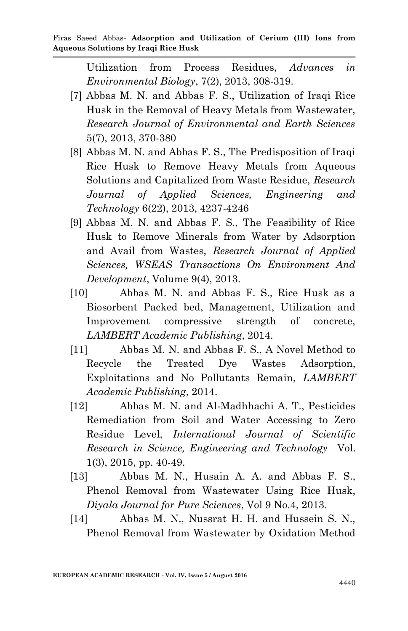Utilization from Process Residues, *Advances in Environmental Biology*, 7(2), 2013, 308-319.

- [7] Abbas M. N. and Abbas F. S., Utilization of Iraqi Rice Husk in the Removal of Heavy Metals from Wastewater, *Research Journal of Environmental and Earth Sciences* 5(7), 2013, 370-380
- [8] Abbas M. N. and Abbas F. S., The Predisposition of Iraqi Rice Husk to Remove Heavy Metals from Aqueous Solutions and Capitalized from Waste Residue, *Research Journal of Applied Sciences, Engineering and Technology* 6(22), 2013, 4237-4246
- [9] Abbas M. N. and Abbas F. S., The Feasibility of Rice Husk to Remove Minerals from Water by Adsorption and Avail from Wastes, *Research Journal of Applied Sciences, WSEAS Transactions On Environment And Development*, Volume 9(4), 2013.
- [10] Abbas M. N. and Abbas F. S., Rice Husk as a Biosorbent Packed bed, Management, Utilization and Improvement compressive strength of concrete, *LAMBERT Academic Publishing*, 2014.
- [11] Abbas M. N. and Abbas F. S., A Novel Method to Recycle the Treated Dye Wastes Adsorption, Exploitations and No Pollutants Remain, *LAMBERT Academic Publishing*, 2014.
- [12] Abbas M. N. and Al-Madhhachi A. T., Pesticides Remediation from Soil and Water Accessing to Zero Residue Level, *International Journal of Scientific Research in Science, Engineering and Technology* Vol. 1(3), 2015, pp. 40-49.
- [13] Abbas M. N., Husain A. A. and Abbas F. S., Phenol Removal from Wastewater Using Rice Husk, *Diyala Journal for Pure Sciences*, Vol 9 No.4, 2013.
- [14] Abbas M. N., Nussrat H. H. and Hussein S. N., Phenol Removal from Wastewater by Oxidation Method